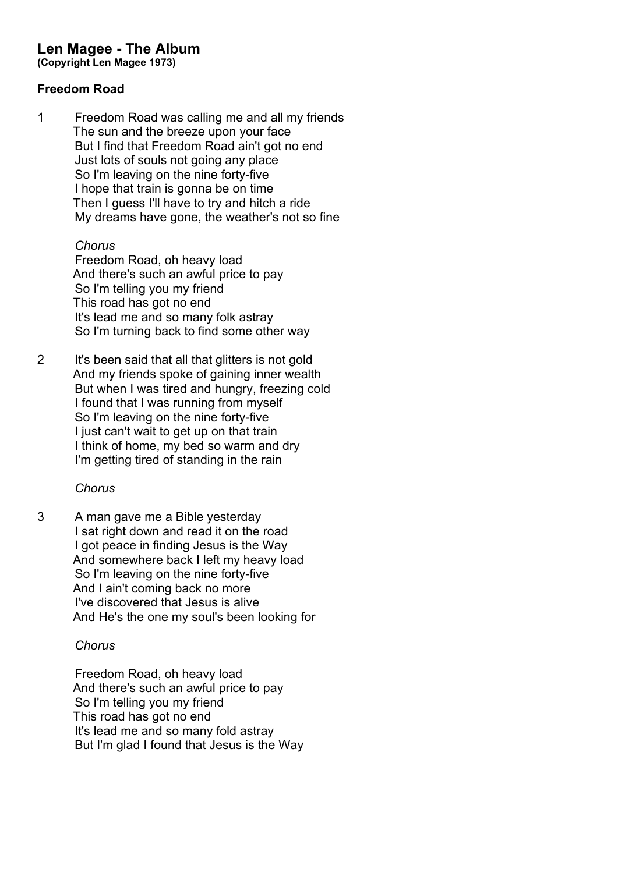# **Len Magee - The Album**

**(Copyright Len Magee 1973)**

#### **Freedom Road**

1 Freedom Road was calling me and all my friends The sun and the breeze upon your face But I find that Freedom Road ain't got no end Just lots of souls not going any place So I'm leaving on the nine forty-five I hope that train is gonna be on time Then I guess I'll have to try and hitch a ride My dreams have gone, the weather's not so fine

*Chorus*

Freedom Road, oh heavy load And there's such an awful price to pay So I'm telling you my friend This road has got no end It's lead me and so many folk astray So I'm turning back to find some other way

2 It's been said that all that glitters is not gold And my friends spoke of gaining inner wealth But when I was tired and hungry, freezing cold I found that I was running from myself So I'm leaving on the nine forty-five I just can't wait to get up on that train I think of home, my bed so warm and dry I'm getting tired of standing in the rain

# *Chorus*

3 A man gave me a Bible yesterday I sat right down and read it on the road I got peace in finding Jesus is the Way And somewhere back I left my heavy load So I'm leaving on the nine forty-five And I ain't coming back no more I've discovered that Jesus is alive And He's the one my soul's been looking for

# *Chorus*

Freedom Road, oh heavy load And there's such an awful price to pay So I'm telling you my friend This road has got no end It's lead me and so many fold astray But I'm glad I found that Jesus is the Way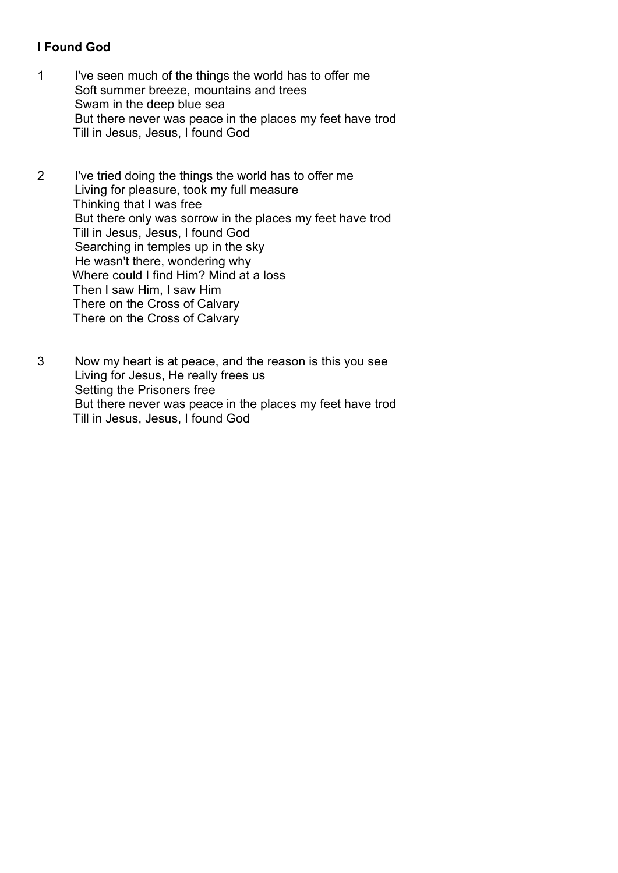# **I Found God**

- 1 I've seen much of the things the world has to offer me Soft summer breeze, mountains and trees Swam in the deep blue sea But there never was peace in the places my feet have trod Till in Jesus, Jesus, I found God
- 2 I've tried doing the things the world has to offer me Living for pleasure, took my full measure Thinking that I was free But there only was sorrow in the places my feet have trod Till in Jesus, Jesus, I found God Searching in temples up in the sky He wasn't there, wondering why Where could I find Him? Mind at a loss Then I saw Him, I saw Him There on the Cross of Calvary There on the Cross of Calvary
- 3 Now my heart is at peace, and the reason is this you see Living for Jesus, He really frees us Setting the Prisoners free But there never was peace in the places my feet have trod Till in Jesus, Jesus, I found God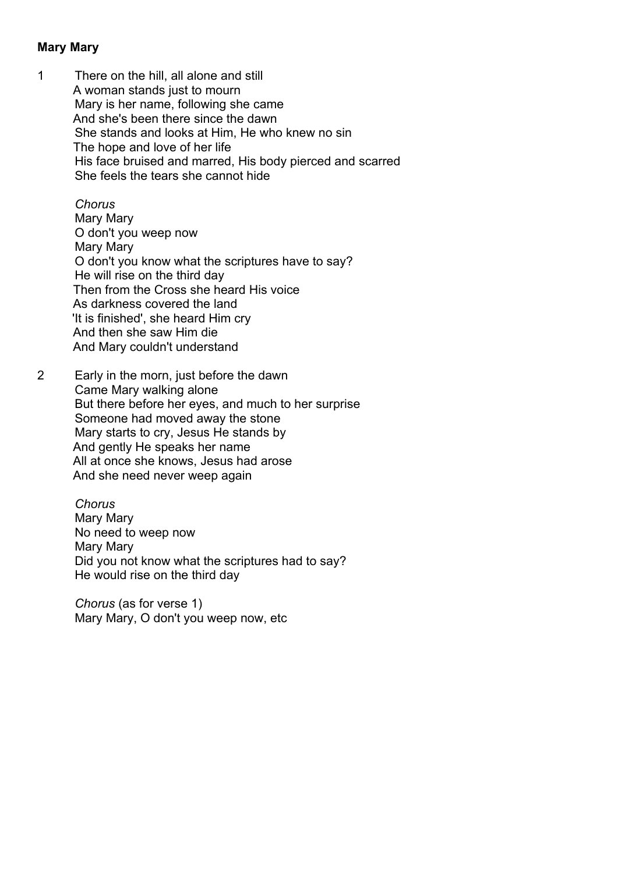## **Mary Mary**

1 There on the hill, all alone and still A woman stands just to mourn Mary is her name, following she came And she's been there since the dawn She stands and looks at Him, He who knew no sin The hope and love of her life His face bruised and marred, His body pierced and scarred She feels the tears she cannot hide

#### *Chorus*

Mary Mary O don't you weep now Mary Mary O don't you know what the scriptures have to say? He will rise on the third day Then from the Cross she heard His voice As darkness covered the land 'It is finished', she heard Him cry And then she saw Him die And Mary couldn't understand

2 Early in the morn, just before the dawn Came Mary walking alone But there before her eyes, and much to her surprise Someone had moved away the stone Mary starts to cry, Jesus He stands by And gently He speaks her name All at once she knows, Jesus had arose And she need never weep again

> *Chorus* Mary Mary No need to weep now Mary Mary Did you not know what the scriptures had to say? He would rise on the third day

*Chorus* (as for verse 1) Mary Mary, O don't you weep now, etc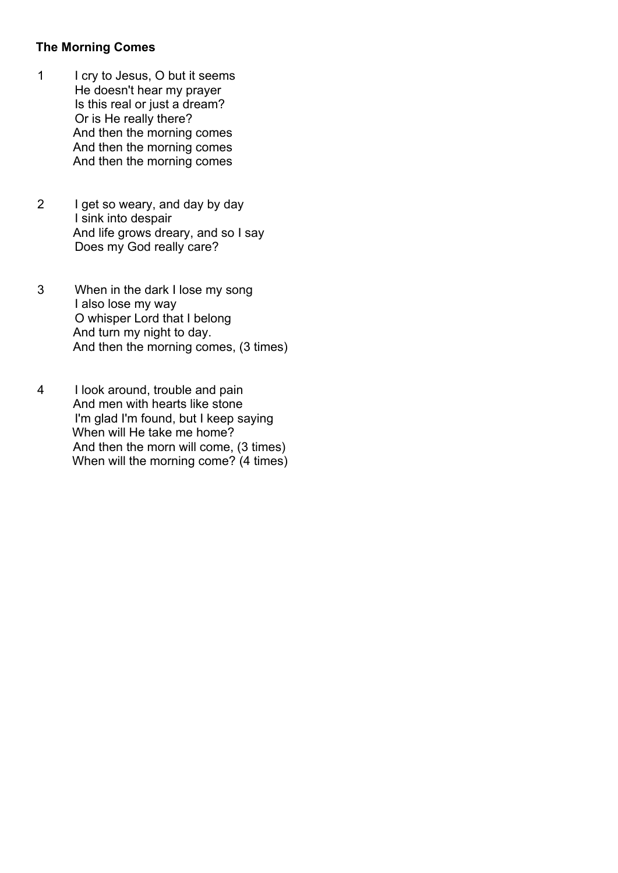## **The Morning Comes**

- 1 I cry to Jesus, O but it seems He doesn't hear my prayer Is this real or just a dream? Or is He really there? And then the morning comes And then the morning comes And then the morning comes
- 2 I get so weary, and day by day I sink into despair And life grows dreary, and so I say Does my God really care?
- 3 When in the dark I lose my song I also lose my way O whisper Lord that I belong And turn my night to day. And then the morning comes, (3 times)
- 4 I look around, trouble and pain And men with hearts like stone I'm glad I'm found, but I keep saying When will He take me home? And then the morn will come, (3 times) When will the morning come? (4 times)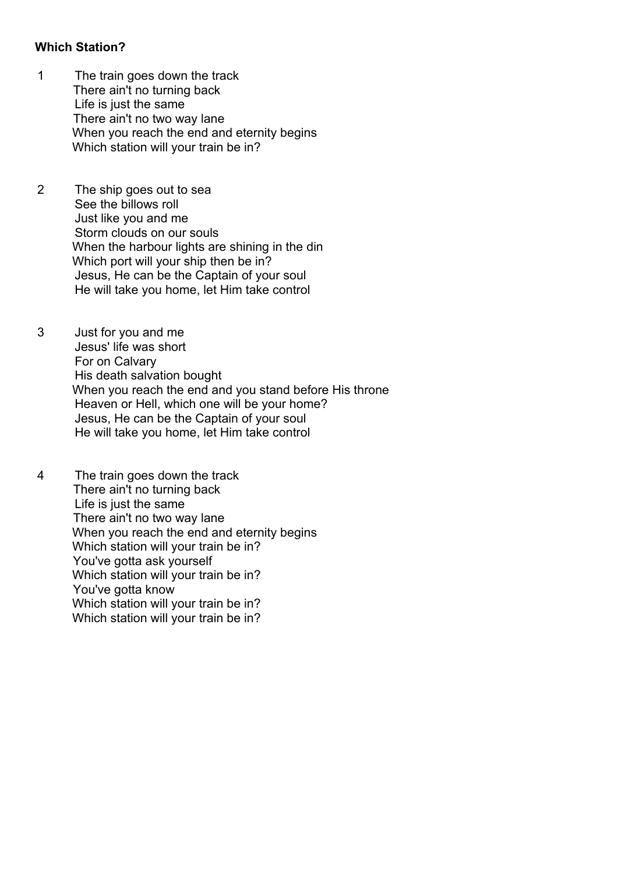## **Which Station?**

- 1 The train goes down the track There ain't no turning back Life is just the same There ain't no two way lane When you reach the end and eternity begins Which station will your train be in?
- 2 The ship goes out to sea See the billows roll Just like you and me Storm clouds on our souls When the harbour lights are shining in the din Which port will your ship then be in? Jesus, He can be the Captain of your soul He will take you home, let Him take control
- 3 Just for you and me Jesus' life was short For on Calvary His death salvation bought When you reach the end and you stand before His throne Heaven or Hell, which one will be your home? Jesus, He can be the Captain of your soul He will take you home, let Him take control
- 4 The train goes down the track There ain't no turning back Life is just the same There ain't no two way lane When you reach the end and eternity begins Which station will your train be in? You've gotta ask yourself Which station will your train be in? You've gotta know Which station will your train be in? Which station will your train be in?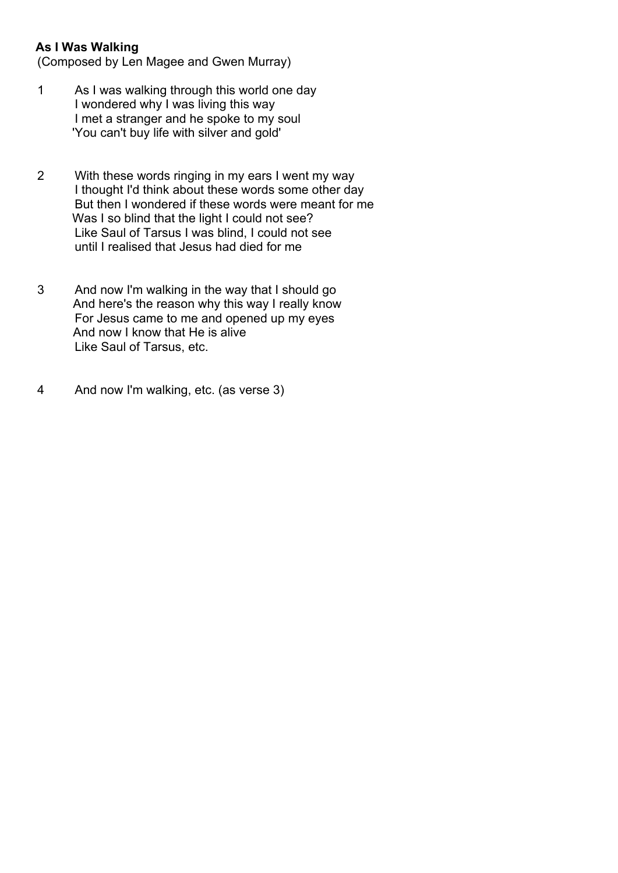## **As I Was Walking**

(Composed by Len Magee and Gwen Murray)

- 1 As I was walking through this world one day I wondered why I was living this way I met a stranger and he spoke to my soul 'You can't buy life with silver and gold'
- 2 With these words ringing in my ears I went my way I thought I'd think about these words some other day But then I wondered if these words were meant for me Was I so blind that the light I could not see? Like Saul of Tarsus I was blind, I could not see until I realised that Jesus had died for me
- 3 And now I'm walking in the way that I should go And here's the reason why this way I really know For Jesus came to me and opened up my eyes And now I know that He is alive Like Saul of Tarsus, etc.
- 4 And now I'm walking, etc. (as verse 3)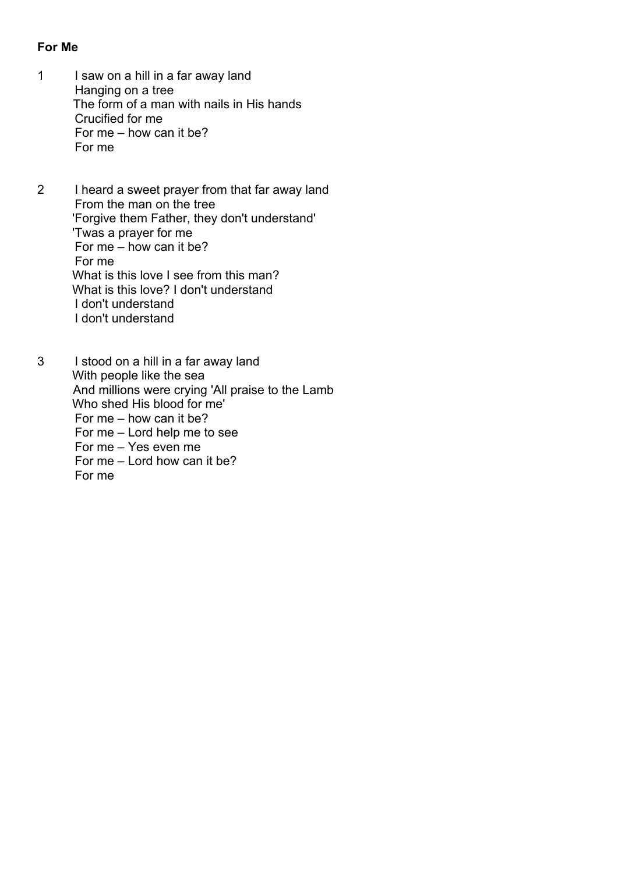#### **For Me**

- 1 I saw on a hill in a far away land Hanging on a tree The form of a man with nails in His hands Crucified for me For me – how can it be? For me
- 2 I heard a sweet prayer from that far away land From the man on the tree 'Forgive them Father, they don't understand' 'Twas a prayer for me For me  $-$  how can it be? For me What is this love I see from this man? What is this love? I don't understand I don't understand I don't understand
- 3 I stood on a hill in a far away land With people like the sea And millions were crying 'All praise to the Lamb Who shed His blood for me' For me – how can it be? For me – Lord help me to see For me – Yes even me For me – Lord how can it be? For me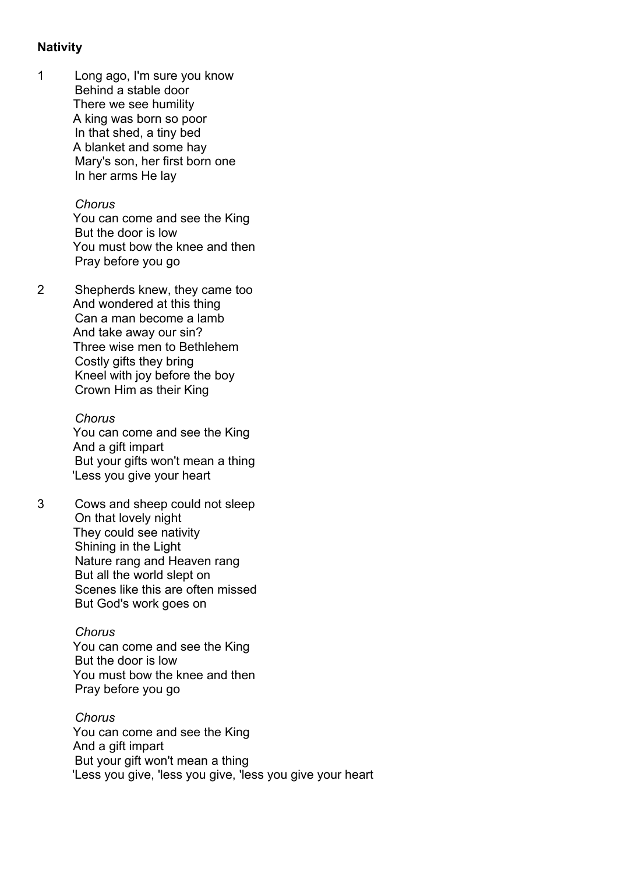#### **Nativity**

1 Long ago, I'm sure you know Behind a stable door There we see humility A king was born so poor In that shed, a tiny bed A blanket and some hay Mary's son, her first born one In her arms He lay

#### *Chorus*

You can come and see the King But the door is low You must bow the knee and then Pray before you go

2 Shepherds knew, they came too And wondered at this thing Can a man become a lamb And take away our sin? Three wise men to Bethlehem Costly gifts they bring Kneel with joy before the boy Crown Him as their King

> *Chorus* You can come and see the King And a gift impart But your gifts won't mean a thing 'Less you give your heart

3 Cows and sheep could not sleep On that lovely night They could see nativity Shining in the Light Nature rang and Heaven rang But all the world slept on Scenes like this are often missed But God's work goes on

#### *Chorus*

You can come and see the King But the door is low You must bow the knee and then Pray before you go

*Chorus* You can come and see the King And a gift impart But your gift won't mean a thing 'Less you give, 'less you give, 'less you give your heart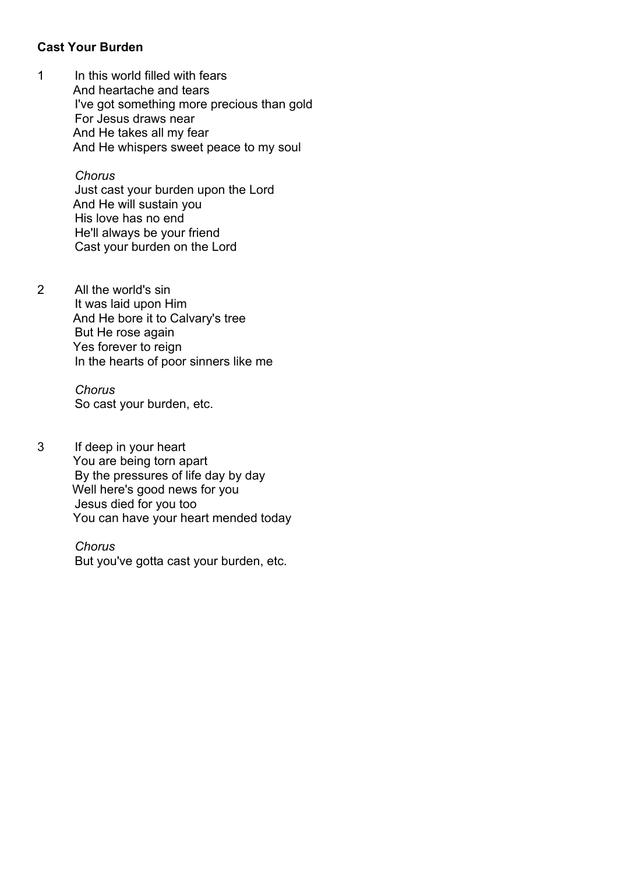## **Cast Your Burden**

1 In this world filled with fears And heartache and tears I've got something more precious than gold For Jesus draws near And He takes all my fear And He whispers sweet peace to my soul

> *Chorus* Just cast your burden upon the Lord And He will sustain you His love has no end He'll always be your friend Cast your burden on the Lord

2 All the world's sin It was laid upon Him And He bore it to Calvary's tree But He rose again Yes forever to reign In the hearts of poor sinners like me

> *Chorus* So cast your burden, etc.

3 If deep in your heart You are being torn apart By the pressures of life day by day Well here's good news for you Jesus died for you too You can have your heart mended today

> *Chorus* But you've gotta cast your burden, etc.